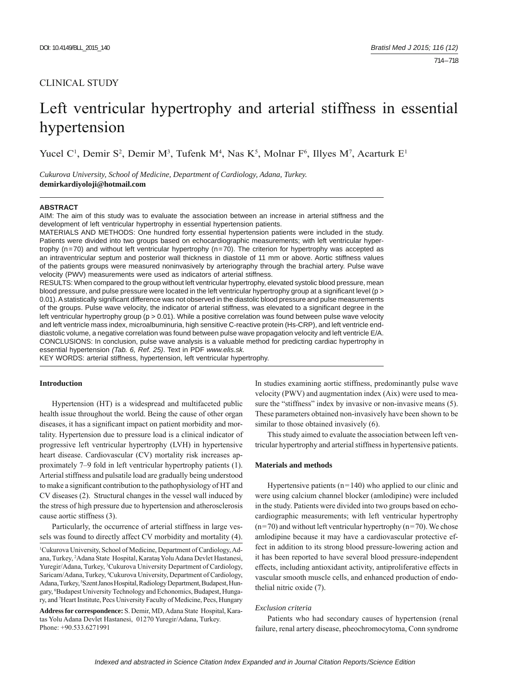# CLINICAL STUDY

# Left ventricular hypertrophy and arterial stiffness in essential hypertension

Yucel C<sup>1</sup>, Demir S<sup>2</sup>, Demir M<sup>3</sup>, Tufenk M<sup>4</sup>, Nas K<sup>5</sup>, Molnar F<sup>6</sup>, Illyes M<sup>7</sup>, Acarturk E<sup>1</sup>

*Cukurova University, School of Medicine, Department of Cardiology, Adana, Turkey.*  **demirkardiyoloji@hotmail.com**

#### **ABSTRACT**

AIM: The aim of this study was to evaluate the association between an increase in arterial stiffness and the development of left ventricular hypertrophy in essential hypertension patients.

MATERIALS AND METHODS: One hundred forty essential hypertension patients were included in the study. Patients were divided into two groups based on echocardiographic measurements; with left ventricular hypertrophy (n=70) and without left ventricular hypertrophy (n=70). The criterion for hypertrophy was accepted as an intraventricular septum and posterior wall thickness in diastole of 11 mm or above. Aortic stiffness values of the patients groups were measured noninvasively by arteriography through the brachial artery. Pulse wave velocity (PWV) measurements were used as indicators of arterial stiffness.

RESULTS: When compared to the group without left ventricular hypertrophy, elevated systolic blood pressure, mean blood pressure, and pulse pressure were located in the left ventricular hypertrophy group at a significant level ( $p >$ 0.01). A statistically significant difference was not observed in the diastolic blood pressure and pulse measurements of the groups. Pulse wave velocity, the indicator of arterial stiffness, was elevated to a significant degree in the left ventricular hypertrophy group ( $p > 0.01$ ). While a positive correlation was found between pulse wave velocity and left ventricle mass index, microalbuminuria, high sensitive C-reactive protein (Hs-CRP), and left ventricle enddiastolic volume, a negative correlation was found between pulse wave propagation velocity and left ventricle E/A. CONCLUSIONS: In conclusion, pulse wave analysis is a valuable method for predicting cardiac hypertrophy in essential hypertension *(Tab. 6, Ref. 25)*. Text in PDF *www.elis.sk.*

KEY WORDS: arterial stiffness, hypertension, left ventricular hypertrophy.

# **Introduction**

Hypertension (HT) is a widespread and multifaceted public health issue throughout the world. Being the cause of other organ diseases, it has a significant impact on patient morbidity and mortality. Hypertension due to pressure load is a clinical indicator of progressive left ventricular hypertrophy (LVH) in hypertensive heart disease. Cardiovascular (CV) mortality risk increases approximately 7–9 fold in left ventricular hypertrophy patients (1). Arterial stiffness and pulsatile load are gradually being understood to make a significant contribution to the pathophysiology of HT and CV diseases (2). Structural changes in the vessel wall induced by the stress of high pressure due to hypertension and atherosclerosis cause aortic stiffness (3).

Particularly, the occurrence of arterial stiffness in large vessels was found to directly affect CV morbidity and mortality (4). In studies examining aortic stiffness, predominantly pulse wave velocity (PWV) and augmentation index (Aix) were used to measure the "stiffness" index by invasive or non-invasive means (5). These parameters obtained non-invasively have been shown to be similar to those obtained invasively (6).

This study aimed to evaluate the association between left ventricular hypertrophy and arterial stiffness in hypertensive patients.

## **Materials and methods**

Hypertensive patients  $(n=140)$  who applied to our clinic and were using calcium channel blocker (amlodipine) were included in the study. Patients were divided into two groups based on echocardiographic measurements; with left ventricular hypertrophy  $(n=70)$  and without left ventricular hypertrophy  $(n=70)$ . We chose amlodipine because it may have a cardiovascular protective effect in addition to its strong blood pressure-lowering action and it has been reported to have several blood pressure-independent effects, including antioxidant activity, antiproliferative effects in vascular smooth muscle cells, and enhanced production of endothelial nitric oxide (7).

# *Exclusion criteria*

Patients who had secondary causes of hypertension (renal failure, renal artery disease, pheochromocytoma, Conn syndrome

<sup>1</sup> Cukurova University, School of Medicine, Department of Cardiology, Adana, Turkey, 2 Adana State Hospital, Karataş Yolu Adana Devlet Hastanesi, Yuregir/Adana, Turkey, <sup>3</sup>Cukurova University Department of Cardiology, Saricam/Adana, Turkey, <sup>4</sup>Cukurova University, Department of Cardiology, Adana, Turkey, <sup>5</sup>Szent Janos Hospital, Radiology Department, Budapest, Hungary, 6 Budapest University Technology and Echonomics, Budapest, Hungary, and 7 Heart Institute, Pecs University Faculty of Medicine, Pecs, Hungary **Address for correspondence:** S. Demir, MD, Adana State Hospital, Karatas Yolu Adana Devlet Hastanesi, 01270 Yuregir/Adana, Turkey. Phone: +90.533.6271991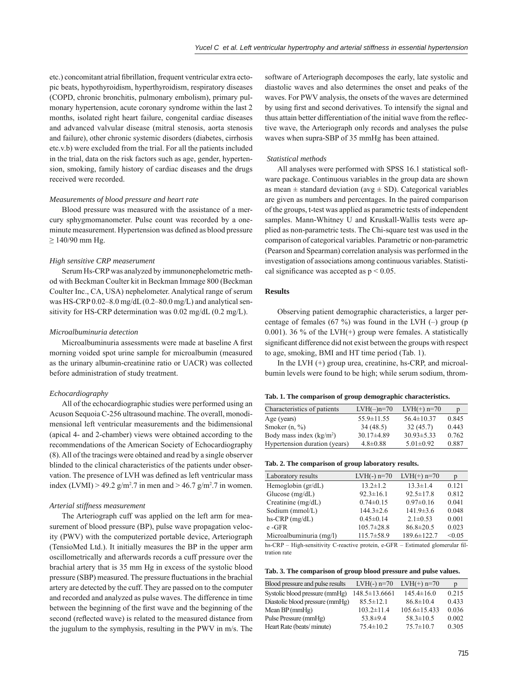etc.) concomitant atrial fibrillation, frequent ventricular extra ectopic beats, hypothyroidism, hyperthyroidism, respiratory diseases (COPD, chronic bronchitis, pulmonary embolism), primary pulmonary hypertension, acute coronary syndrome within the last 2 months, isolated right heart failure, congenital cardiac diseases and advanced valvular disease (mitral stenosis, aorta stenosis and failure), other chronic systemic disorders (diabetes, cirrhosis etc.v.b) were excluded from the trial. For all the patients included in the trial, data on the risk factors such as age, gender, hypertension, smoking, family history of cardiac diseases and the drugs received were recorded.

## *Measurements of blood pressure and heart rate*

Blood pressure was measured with the assistance of a mercury sphygmomanometer. Pulse count was recorded by a oneminute measurement. Hypertension was defined as blood pressure  $≥ 140/90$  mm Hg.

# *High sensitive CRP measerument*

Serum Hs-CRP was analyzed by immunonephelometric method with Beckman Coulter kit in Beckman Immage 800 (Beckman Coulter Inc., CA, USA) nephelometer. Analytical range of serum was HS-CRP 0.02–8.0 mg/dL (0.2–80.0 mg/L) and analytical sensitivity for HS-CRP determination was 0.02 mg/dL (0.2 mg/L).

#### *Microalbuminuria detection*

Microalbuminuria assessments were made at baseline A first morning voided spot urine sample for microalbumin (measured as the urinary albumin-creatinine ratio or UACR) was collected before administration of study treatment.

## *Echocardiography*

All of the echocardiographic studies were performed using an Acuson Sequoia C-256 ultrasound machine. The overall, monodimensional left ventricular measurements and the bidimensional (apical 4- and 2-chamber) views were obtained according to the recommendations of the American Society of Echocardiography (8). All of the tracings were obtained and read by a single observer blinded to the clinical characteristics of the patients under observation. The presence of LVH was defined as left ventricular mass index (LVMI) > 49.2 g/m<sup>2</sup>.7 in men and > 46.7 g/m<sup>2</sup>.7 in women.

## *Arterial stiffness measurement*

The Arteriograph cuff was applied on the left arm for measurement of blood pressure (BP), pulse wave propagation velocity (PWV) with the computerized portable device, Arteriograph (TensioMed Ltd.). It initially measures the BP in the upper arm oscillometrically and afterwards records a cuff pressure over the brachial artery that is 35 mm Hg in excess of the systolic blood pressure (SBP) measured. The pressure fluctuations in the brachial artery are detected by the cuff. They are passed on to the computer and recorded and analyzed as pulse waves. The difference in time between the beginning of the first wave and the beginning of the second (reflected wave) is related to the measured distance from the jugulum to the symphysis, resulting in the PWV in m/s. The

software of Arteriograph decomposes the early, late systolic and diastolic waves and also determines the onset and peaks of the waves. For PWV analysis, the onsets of the waves are determined by using first and second derivatives. To intensify the signal and thus attain better differentiation of the initial wave from the reflective wave, the Arteriograph only records and analyses the pulse waves when supra-SBP of 35 mmHg has been attained.

#### *Statistical methods*

All analyses were performed with SPSS 16.1 statistical software package. Continuous variables in the group data are shown as mean  $\pm$  standard deviation (avg  $\pm$  SD). Categorical variables are given as numbers and percentages. In the paired comparison of the groups, t-test was applied as parametric tests of independent samples. Mann-Whitney U and Kruskall-Wallis tests were applied as non-parametric tests. The Chi-square test was used in the comparison of categorical variables. Parametric or non-parametric (Pearson and Spearman) correlation analysis was performed in the investigation of associations among continuous variables. Statistical significance was accepted as  $p < 0.05$ .

# **Results**

Observing patient demographic characteristics, a larger percentage of females (67 %) was found in the LVH  $(-)$  group (p 0.001). 36 % of the LVH $(+)$  group were females. A statistically significant difference did not exist between the groups with respect to age, smoking, BMI and HT time period (Tab. 1).

In the LVH  $(+)$  group urea, creatinine, hs-CRP, and microalbumin levels were found to be high; while serum sodium, throm-

|  |  |  |  |  |  |  | Tab. 1. The comparison of group demographic characteristics. |
|--|--|--|--|--|--|--|--------------------------------------------------------------|
|--|--|--|--|--|--|--|--------------------------------------------------------------|

| Characteristics of patients   | $LVH(-)n=70$     | $LVH(+)$ n=70    | p     |
|-------------------------------|------------------|------------------|-------|
| Age (years)                   | $55.9 \pm 11.55$ | $56.4 \pm 10.37$ | 0.845 |
| Smoker $(n, \frac{9}{6})$     | 34(48.5)         | 32(45.7)         | 0.443 |
| Body mass index $(kg/m2)$     | $30.17 \pm 4.89$ | $30.93 \pm 5.33$ | 0.762 |
| Hypertension duration (years) | $4.8 \pm 0.88$   | $5.01 \pm 0.92$  | 0.887 |

#### **Tab. 2. The comparison of group laboratory results.**

| Laboratory results          | $LVH(-)$ n=70    | $LVH(+)$ n=70   | р      |
|-----------------------------|------------------|-----------------|--------|
| Hemoglobin $(\text{gr/dL})$ | $13.2 \pm 1.2$   | $13.3 \pm 1.4$  | 0.121  |
| Glucose $(mg/dL)$           | $92.3 \pm 16.1$  | $92.5 \pm 17.8$ | 0.812  |
| Creatinine $(mg/dL)$        | $0.74 \pm 0.15$  | $0.97\pm0.16$   | 0.041  |
| Sodium (mmol/L)             | $144.3 \pm 2.6$  | $141.9 \pm 3.6$ | 0.048  |
| hs-CRP $(mg/dL)$            | $0.45 \pm 0.14$  | $2.1 \pm 0.53$  | 0.001  |
| e-GFR                       | $105.7 \pm 28.8$ | $86.8 \pm 20.5$ | 0.023  |
| Microalbuminuria (mg/l)     | $115.7 \pm 58.9$ | 189.6±122.7     | < 0.05 |

hs-CRP – High-sensitivity C-reactive protein, e-GFR – Estimated glomerular filtration rate

|  |  |  |  |  |  | Tab. 3. The comparison of group blood pressure and pulse values. |  |  |
|--|--|--|--|--|--|------------------------------------------------------------------|--|--|
|--|--|--|--|--|--|------------------------------------------------------------------|--|--|

| Blood pressure and pulse results | $LVH(-)$ n=70       | $LVH(+)$ n=70      | D     |
|----------------------------------|---------------------|--------------------|-------|
| Systolic blood pressure (mmHg)   | $148.5 \pm 13.6661$ | $145.4 \pm 16.0$   | 0.215 |
| Diastolic blood pressure (mmHg)  | $85.5 \pm 12.1$     | $86.8 \pm 10.4$    | 0.433 |
| Mean $BP$ (mmHg)                 | $103.2 \pm 11.4$    | $105.6 \pm 15.433$ | 0.036 |
| Pulse Pressure (mmHg)            | 53.8 $\pm$ 9.4      | $58.3 \pm 10.5$    | 0.002 |
| Heart Rate (beats/minute)        | $75.4 \pm 10.2$     | $75.7 \pm 10.7$    | 0.305 |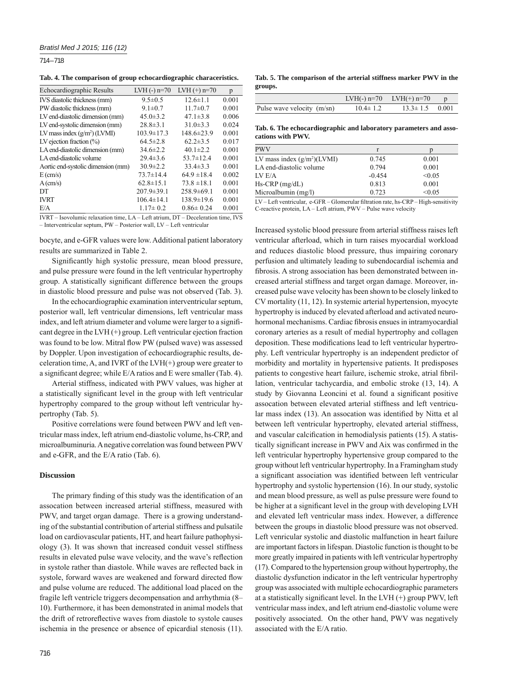714 – 718

**Tab. 4. The comparison of group echocardiographic characeristics.**

| Echocardiographic Results          | $LVH(-)$ n=70    | $LVH(+)$ n=70    | p     |
|------------------------------------|------------------|------------------|-------|
| IVS diastolic thickness (mm)       | $9.5 \pm 0.5$    | $12.6 \pm 1.1$   | 0.001 |
| PW diastolic thickness (mm)        | $9.1 \pm 0.7$    | $11.7 \pm 0.7$   | 0.001 |
| LV end-diastolic dimension (mm)    | $45.0 \pm 3.2$   | $47.1 \pm 3.8$   | 0.006 |
| LV end-systolic dimension (mm)     | $28.8 \pm 3.1$   | $31.0\pm3.3$     | 0.024 |
| LV mass index $(g/m^2)$ (LVMI)     | $103.9 \pm 17.3$ | $148.6 \pm 23.9$ | 0.001 |
| LV ejection fraction $(\%)$        | $64.5 \pm 2.8$   | $62.2 \pm 3.5$   | 0.017 |
| LA end-diastolic dimension (mm)    | $34.6 \pm 2.2$   | $40.1 \pm 2.2$   | 0.001 |
| LA end-diastolic volume            | $29.4 \pm 3.6$   | $53.7 \pm 12.4$  | 0.001 |
| Aortic end-systolic dimension (mm) | $30.9 \pm 2.2$   | $33.4 \pm 3.3$   | 0.001 |
| $E \left( \text{cm/s} \right)$     | $73.7 \pm 14.4$  | $64.9 \pm 18.4$  | 0.002 |
| $A$ (cm/s)                         | $62.8 \pm 15.1$  | $73.8 \pm 18.1$  | 0.001 |
| DТ                                 | $207.9 \pm 39.1$ | $258.9 \pm 69.1$ | 0.001 |
| <b>IVRT</b>                        | $106.4 \pm 14.1$ | $138.9 \pm 19.6$ | 0.001 |
| E/A                                | $1.17 \pm 0.2$   | $0.86 \pm 0.24$  | 0.001 |
|                                    |                  |                  |       |

IVRT – Isovolumic relaxation time, LA – Left atrium, DT – Deceleration time, IVS – Interventricular septum, PW – Posterior wall, LV – Left ventricular

bocyte, and e-GFR values were low. Additional patient laboratory results are summarized in Table 2.

Significantly high systolic pressure, mean blood pressure, and pulse pressure were found in the left ventricular hypertrophy group. A statistically significant difference between the groups in diastolic blood pressure and pulse was not observed (Tab. 3).

In the echocardiographic examination interventricular septum, posterior wall, left ventricular dimensions, left ventricular mass index, and left atrium diameter and volume were larger to a significant degree in the LVH $(+)$  group. Left ventricular ejection fraction was found to be low. Mitral flow PW (pulsed wave) was assessed by Doppler. Upon investigation of echocardiographic results, deceleration time, A, and IVRT of the LVH(+) group were greater to a significant degree; while E/A ratios and E were smaller (Tab. 4).

Arterial stiffness, indicated with PWV values, was higher at a statistically significant level in the group with left ventricular hypertrophy compared to the group without left ventricular hypertrophy (Tab. 5).

Positive correlations were found between PWV and left ventricular mass index, left atrium end-diastolic volume, hs-CRP, and microalbuminuria. A negative correlation was found between PWV and e-GFR, and the E/A ratio (Tab. 6).

## **Discussion**

The primary finding of this study was the identification of an assocation between increased arterial stiffness, measured with PWV, and target organ damage. There is a growing understanding of the substantial contribution of arterial stiffness and pulsatile load on cardiovascular patients, HT, and heart failure pathophysiology (3). It was shown that increased conduit vessel stiffness results in elevated pulse wave velocity, and the wave's reflection in systole rather than diastole. While waves are reflected back in systole, forward waves are weakened and forward directed flow and pulse volume are reduced. The additional load placed on the fragile left ventricle triggers decompensation and arrhythmia (8– 10). Furthermore, it has been demonstrated in animal models that the drift of retroreflective waves from diastole to systole causes ischemia in the presence or absence of epicardial stenosis (11).

**Tab. 5. The comparison of the arterial stiffness marker PWV in the groups.**

|                            |                | LVH $(-)$ n=70 LVH $(+)$ n=70 p |  |
|----------------------------|----------------|---------------------------------|--|
| Pulse wave velocity (m/sn) | $10.4 \pm 1.2$ | $13.3 \pm 1.5$ 0.001            |  |

**Tab. 6. The echocardiographic and laboratory parameters and assocations with PWV.**

|          | D      |
|----------|--------|
| 0.745    | 0.001  |
| 0.794    | 0.001  |
| $-0.454$ | < 0.05 |
| 0.813    | 0.001  |
| 0.723    | < 0.05 |
|          |        |

LV – Left ventricular, e-GFR – Glomerular fi ltration rate, hs-CRP – High-sensitivity C-reactive protein, LA – Left atrium, PWV – Pulse wave velocity

Increased systolic blood pressure from arterial stiffness raises left ventricular afterload, which in turn raises myocardial workload and reduces diastolic blood pressure, thus impairing coronary perfusion and ultimately leading to subendocardial ischemia and fibrosis. A strong association has been demonstrated between increased arterial stiffness and target organ damage. Moreover, increased pulse wave velocity has been shown to be closely linked to CV mortality (11, 12). In systemic arterial hypertension, myocyte hypertrophy is induced by elevated afterload and activated neurohormonal mechanisms. Cardiac fibrosis ensues in intramyocardial coronary arteries as a result of medial hypertrophy and collagen deposition. These modifications lead to left ventricular hypertrophy. Left ventricular hypertrophy is an independent predictor of morbidity and mortality in hypertensive patients. It predisposes patients to congestive heart failure, ischemic stroke, atrial fibrillation, ventricular tachycardia, and embolic stroke (13, 14). A study by Giovanna Leoncini et al. found a significant positive assocation between elevated arterial stiffness and left ventricular mass index (13). An assocation was identified by Nitta et al between left ventricular hypertrophy, elevated arterial stiffness, and vascular calcification in hemodialysis patients (15). A statistically significant increase in PWV and Aix was confirmed in the left ventricular hypertrophy hypertensive group compared to the group without left ventricular hypertrophy. In a Framingham study a significant association was identified between left ventricular hypertrophy and systolic hypertension (16). In our study, systolic and mean blood pressure, as well as pulse pressure were found to be higher at a significant level in the group with developing LVH and elevated left ventricular mass index. However, a difference between the groups in diastolic blood pressure was not observed. Left venricular systolic and diastolic malfunction in heart failure are important factors in lifespan. Diastolic function is thought to be more greatly impaired in patients with left ventricular hypertrophy (17). Compared to the hypertension group without hypertrophy, the diastolic dysfunction indicator in the left ventricular hypertrophy group was associated with multiple echocardiographic parameters at a statistically significant level. In the LVH  $(+)$  group PWV, left ventricular mass index, and left atrium end-diastolic volume were positively associated. On the other hand, PWV was negatively associated with the E/A ratio.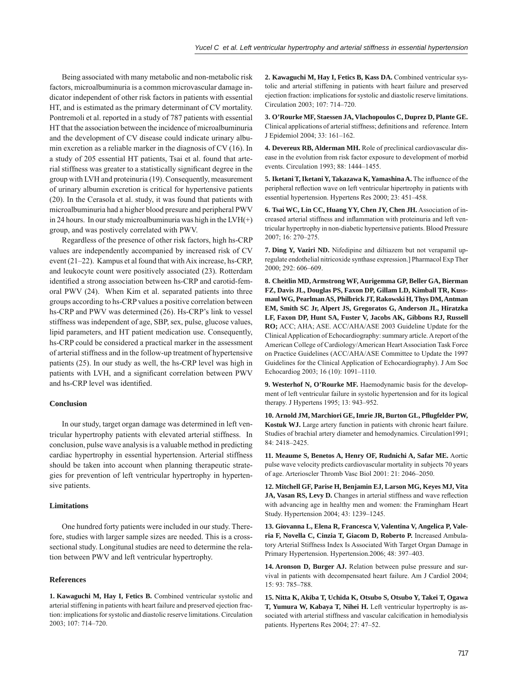Being associated with many metabolic and non-metabolic risk factors, microalbuminuria is a common microvascular damage indicator independent of other risk factors in patients with essential HT, and is estimated as the primary determinant of CV mortality. Pontremoli et al. reported in a study of 787 patients with essential HT that the association between the incidence of microalbuminuria and the development of CV disease could indicate urinary albumin excretion as a reliable marker in the diagnosis of CV (16). In a study of 205 essential HT patients, Tsai et al. found that arterial stiffness was greater to a statistically significant degree in the group with LVH and proteinuria (19). Consequently, measurement of urinary albumin excretion is critical for hypertensive patients (20). In the Cerasola et al. study, it was found that patients with microalbuminuria had a higher blood presure and peripheral PWV in 24 hours. In our study microal buminuria was high in the  $LVH(+)$ group, and was postively correlated with PWV.

Regardless of the presence of other risk factors, high hs-CRP values are independently accompanied by increased risk of CV event (21–22). Kampus et al found that with Aix increase, hs-CRP, and leukocyte count were positively associated (23). Rotterdam identified a strong association between hs-CRP and carotid-femoral PWV (24). When Kim et al. separated patients into three groups according to hs-CRP values a positive correlation between hs-CRP and PWV was determined (26). Hs-CRP's link to vessel stiffness was independent of age, SBP, sex, pulse, glucose values, lipid parameters, and HT patient medication use. Consequently, hs-CRP could be considered a practical marker in the assessment of arterial stiffness and in the follow-up treatment of hypertensive patients (25). In our study as well, the hs-CRP level was high in patients with LVH, and a significant correlation between PWV and hs-CRP level was identified.

### **Conclusion**

In our study, target organ damage was determined in left ventricular hypertrophy patients with elevated arterial stiffness. In conclusion, pulse wave analysis is a valuable method in predicting cardiac hypertrophy in essential hypertension. Arterial stiffness should be taken into account when planning therapeutic strategies for prevention of left ventricular hypertrophy in hypertensive patients.

## **Limitations**

One hundred forty patients were included in our study. Therefore, studies with larger sample sizes are needed. This is a crosssectional study. Longitunal studies are need to determine the relation between PWV and left ventricular hypertrophy.

# **References**

**1. Kawaguchi M, Hay I, Fetics B.** Combined ventricular systolic and arterial stiffening in patients with heart failure and preserved ejection fraction: implications for systolic and diastolic reserve limitations. Circulation 2003; 107: 714–720.

**2. Kawaguchi M, Hay I, Fetics B, Kass DA.** Combined ventricular systolic and arterial stiffening in patients with heart failure and preserved ejection fraction: implications for systolic and diastolic reserve limitations. Circulation 2003; 107: 714–720.

**3. O'Rourke MF, Staessen JA, Vlachopoulos C, Duprez D, Plante GE.** Clinical applications of arterial stiffness; definitions and reference. Intern J Epidemiol 2004; 33: 161–162.

**4. Devereux RB, Alderman MH.** Role of preclinical cardiovascular disease in the evolution from risk factor exposure to development of morbid events. Circulation 1993; 88: 1444–1455.

5. Iketani T, Iketani Y, Takazawa K, Yamashina A. The influence of the peripheral reflection wave on left ventricular hipertrophy in patients with essential hypertension. Hypertens Res 2000; 23: 451–458.

**6. Tsai WC, Lin CC, Huang YY, Chen JY, Chen JH.** Association of increased arterial stiffness and inflammation with proteinuria and left ventricular hypertrophy in non-diabetic hypertensive patients. Blood Pressure 2007; 16: 270–275.

**7. Ding Y, Vaziri ND.** Nifedipine and diltiazem but not verapamil upregulate endothelial nitricoxide synthase expression.] Pharmacol Exp Ther 2000; 292: 606–609.

**8. Cheitlin MD, Armstrong WF, Aurigemma GP, Beller GA, Bierman FZ, Davis JL, Douglas PS, Faxon DP, Gillam LD, Kimball TR, Kussmaul WG, Pearlman AS, Philbrick JT, Rakowski H, Thys DM, Antman EM, Smith SC Jr, Alpert JS, Gregoratos G, Anderson JL, Hiratzka LF, Faxon DP, Hunt SA, Fuster V, Jacobs AK, Gibbons RJ, Russell RO;** ACC; AHA; ASE. ACC/AHA/ASE 2003 Guideline Update for the Clinical Application of Echocardiography: summary article. A report of the American College of Cardiology/American Heart Association Task Force on Practice Guidelines (ACC/AHA/ASE Committee to Update the 1997 Guidelines for the Clinical Application of Echocardiography). J Am Soc Echocardiog 2003; 16 (10): 1091–1110.

**9. Westerhof N, O'Rourke MF.** Haemodynamic basis for the development of left ventricular failure in systolic hypertension and for its logical therapy. J Hypertens 1995; 13: 943–952.

**10. Arnold JM, Marchiori GE, Imrie JR, Burton GL, Pfl ugfelder PW, Kostuk WJ.** Large artery function in patients with chronic heart failure. Studies of brachial artery diameter and hemodynamics. Circulation1991; 84: 2418–2425.

**11. Meaume S, Benetos A, Henry OF, Rudnichi A, Safar ME.** Aortic pulse wave velocity predicts cardiovascular mortality in subjects 70 years of age. Arterioscler Thromb Vasc Biol 2001: 21: 2046–2050.

**12. Mitchell GF, Parise H, Benjamin EJ, Larson MG, Keyes MJ, Vita**  JA, Vasan RS, Levy D. Changes in arterial stiffness and wave reflection with advancing age in healthy men and women: the Framingham Heart Study. Hypertension 2004; 43: 1239–1245.

**13. Giovanna L, Elena R, Francesca V, Valentina V, Angelica P, Valeria F, Novella C, Cinzia T, Giacom D, Roberto P.** Increased Ambulatory Arterial Stiffness Index Is Associated With Target Organ Damage in Primary Hypertension. Hypertension.2006; 48: 397–403.

**14. Aronson D, Burger AJ.** Relation between pulse pressure and survival in patients with decompensated heart failure. Am J Cardiol 2004; 15: 93: 785–788.

**15. Nitta K, Akiba T, Uchida K, Otsubo S, Otsubo Y, Takei T, Ogawa T, Yumura W, Kabaya T, Nihei H.** Left ventricular hypertrophy is associated with arterial stiffness and vascular calcification in hemodialysis patients. Hypertens Res 2004; 27: 47–52.